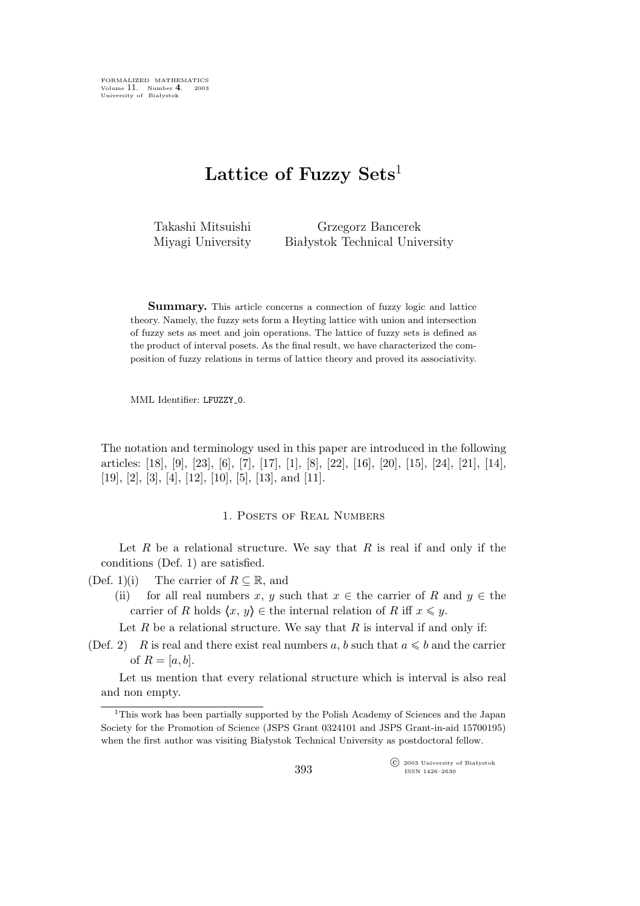FORMALIZED MATHEMATICS Volume 11, Number 4, 2003<br>University of Białystok

# **Lattice of Fuzzy Sets**<sup>1</sup>

Takashi Mitsuishi Miyagi University

Grzegorz Bancerek Białystok Technical University

**Summary.** This article concerns a connection of fuzzy logic and lattice theory. Namely, the fuzzy sets form a Heyting lattice with union and intersection of fuzzy sets as meet and join operations. The lattice of fuzzy sets is defined as the product of interval posets. As the final result, we have characterized the composition of fuzzy relations in terms of lattice theory and proved its associativity.

MML Identifier: LFUZZY\_0.

The notation and terminology used in this paper are introduced in the following articles: [18], [9], [23], [6], [7], [17], [1], [8], [22], [16], [20], [15], [24], [21], [14], [19], [2], [3], [4], [12], [10], [5], [13], and [11].

### 1. POSETS OF REAL NUMBERS

Let R be a relational structure. We say that R is real if and only if the conditions (Def. 1) are satisfied.

- (Def. 1)(i) The carrier of  $R \subseteq \mathbb{R}$ , and
	- (ii) for all real numbers x, y such that  $x \in$  the carrier of R and  $y \in$  the carrier of R holds  $\langle x, y \rangle \in$  the internal relation of R iff  $x \leq y$ .

Let  $R$  be a relational structure. We say that  $R$  is interval if and only if:

(Def. 2) R is real and there exist real numbers a, b such that  $a \leq b$  and the carrier of  $R = [a, b]$ .

Let us mention that every relational structure which is interval is also real and non empty.

<sup>&</sup>lt;sup>1</sup>This work has been partially supported by the Polish Academy of Sciences and the Japan Society for the Promotion of Science (JSPS Grant 0324101 and JSPS Grant-in-aid 15700195) when the first author was visiting Białystok Technical University as postdoctoral fellow.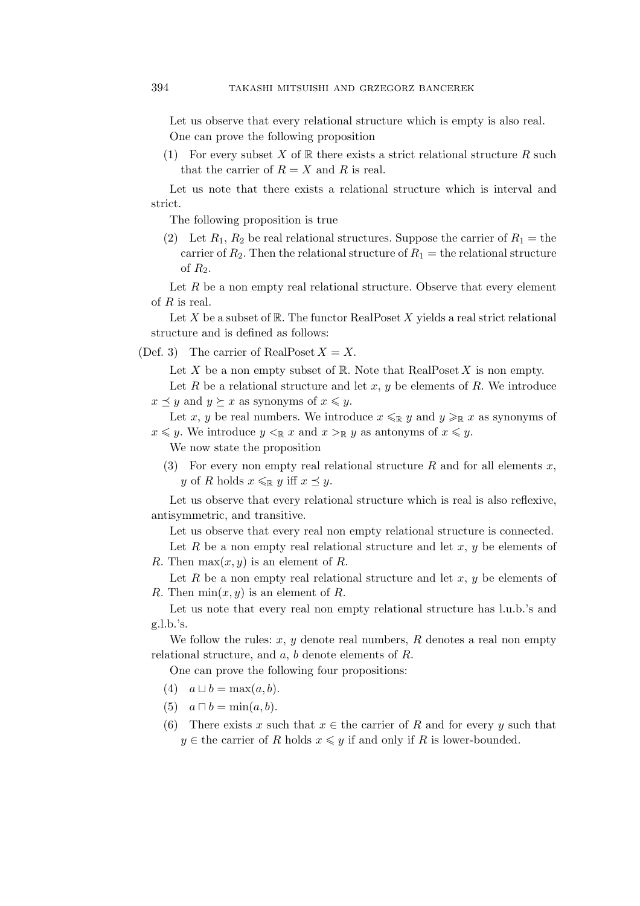Let us observe that every relational structure which is empty is also real. One can prove the following proposition

(1) For every subset X of  $\mathbb R$  there exists a strict relational structure R such that the carrier of  $R = X$  and R is real.

Let us note that there exists a relational structure which is interval and strict.

The following proposition is true

(2) Let  $R_1, R_2$  be real relational structures. Suppose the carrier of  $R_1 =$  the carrier of  $R_2$ . Then the relational structure of  $R_1$  = the relational structure of  $R_2$ .

Let  $R$  be a non empty real relational structure. Observe that every element of  $R$  is real.

Let  $X$  be a subset of  $\mathbb R$ . The functor RealPoset  $X$  yields a real strict relational structure and is defined as follows:

(Def. 3) The carrier of RealPoset  $X = X$ .

Let X be a non empty subset of R. Note that  $\mathrm{RealPoset}\,X$  is non empty.

Let R be a relational structure and let x, y be elements of R. We introduce  $x \preceq y$  and  $y \succeq x$  as synonyms of  $x \leq y$ .

Let x, y be real numbers. We introduce  $x \leq_R y$  and  $y \geq_R x$  as synonyms of  $x \leq y$ . We introduce  $y <_{\mathbb{R}} x$  and  $x >_{\mathbb{R}} y$  as antonyms of  $x \leq y$ .

We now state the proposition

(3) For every non empty real relational structure R and for all elements x, y of R holds  $x \leq_R y$  iff  $x \preceq y$ .

Let us observe that every relational structure which is real is also reflexive, antisymmetric, and transitive.

Let us observe that every real non empty relational structure is connected.

Let R be a non empty real relational structure and let  $x, y$  be elements of R. Then  $\max(x, y)$  is an element of R.

Let  $R$  be a non empty real relational structure and let  $x, y$  be elements of R. Then  $\min(x, y)$  is an element of R.

Let us note that every real non empty relational structure has l.u.b.'s and g.l.b.'s.

We follow the rules:  $x, y$  denote real numbers,  $R$  denotes a real non empty relational structure, and  $a, b$  denote elements of  $R$ .

One can prove the following four propositions:

- $(4)$   $a \sqcup b = \max(a, b).$
- (5)  $a \sqcap b = \min(a, b)$ .
- (6) There exists x such that  $x \in$  the carrier of R and for every y such that  $y \in$  the carrier of R holds  $x \leq y$  if and only if R is lower-bounded.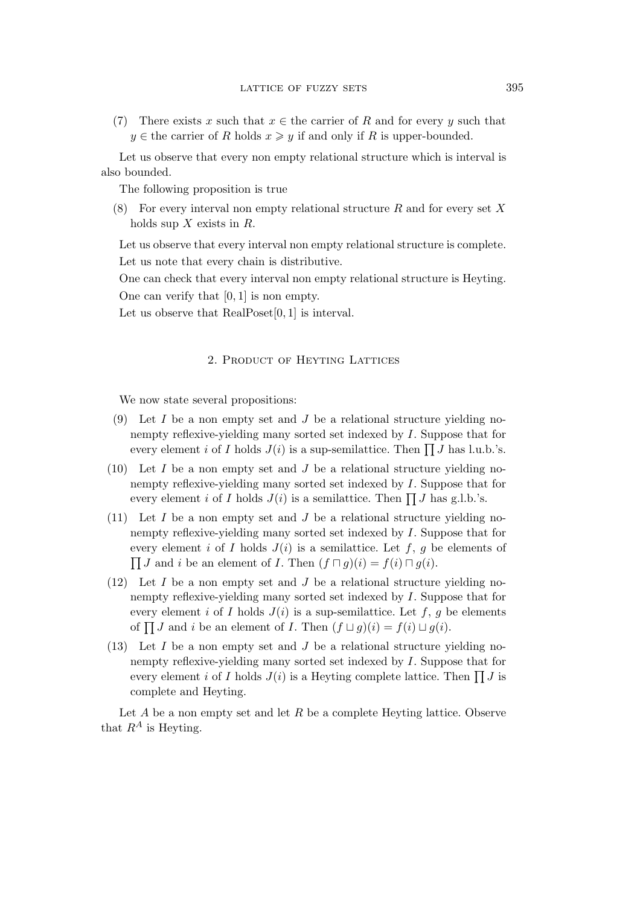(7) There exists x such that  $x \in$  the carrier of R and for every y such that  $y \in$  the carrier of R holds  $x \geq y$  if and only if R is upper-bounded.

Let us observe that every non empty relational structure which is interval is also bounded.

The following proposition is true

(8) For every interval non empty relational structure  $R$  and for every set  $X$ holds sup  $X$  exists in  $R$ .

Let us observe that every interval non empty relational structure is complete. Let us note that every chain is distributive.

One can check that every interval non empty relational structure is Heyting. One can verify that  $[0, 1]$  is non empty.

Let us observe that RealPoset[0, 1] is interval.

### 2. Product of Heyting Lattices

We now state several propositions:

- (9) Let  $I$  be a non empty set and  $J$  be a relational structure yielding nonempty reflexive-yielding many sorted set indexed by I. Suppose that for every element *i* of *I* holds  $J(i)$  is a sup-semilattice. Then  $\prod J$  has l.u.b.'s.
- (10) Let  $I$  be a non empty set and  $J$  be a relational structure yielding nonempty reflexive-yielding many sorted set indexed by I. Suppose that for every element *i* of *I* holds  $J(i)$  is a semilattice. Then  $\prod J$  has g.l.b.'s.
- (11) Let  $I$  be a non empty set and  $J$  be a relational structure yielding nonempty reflexive-yielding many sorted set indexed by I. Suppose that for every element i of I holds  $J(i)$  is a semilattice. Let f, g be elements of  $\prod J$  and i be an element of *I*. Then  $(f \sqcap g)(i) = f(i) \sqcap g(i)$ .
- (12) Let I be a non empty set and J be a relational structure yielding nonempty reflexive-yielding many sorted set indexed by I. Suppose that for every element i of I holds  $J(i)$  is a sup-semilattice. Let f, g be elements of  $\prod J$  and i be an element of *I*. Then  $(f \sqcup g)(i) = f(i) \sqcup g(i)$ .
- (13) Let  $I$  be a non empty set and  $J$  be a relational structure yielding nonempty reflexive-yielding many sorted set indexed by I. Suppose that for every element *i* of *I* holds  $J(i)$  is a Heyting complete lattice. Then  $\prod J$  is complete and Heyting.

Let A be a non empty set and let R be a complete Heyting lattice. Observe that  $R^A$  is Heyting.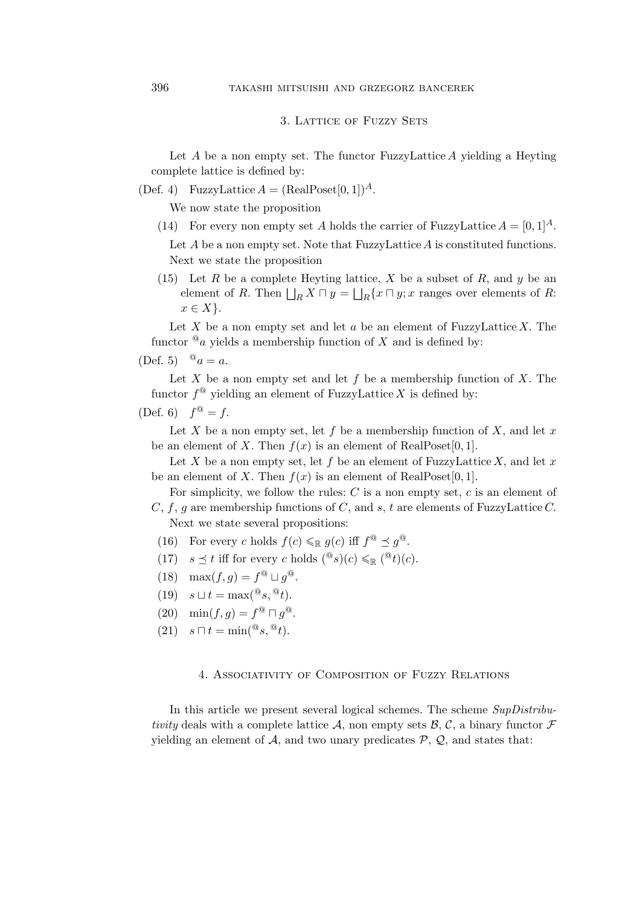### 3. LATTICE OF FUZZY SETS

Let  $A$  be a non empty set. The functor FuzzyLattice  $A$  yielding a Heyting complete lattice is defined by:

(Def. 4) FuzzyLattice  $A = (\text{RealPoset}[0, 1])^A$ .

We now state the proposition

- (14) For every non empty set A holds the carrier of FuzzyLattice  $A = [0, 1]^A$ . Let  $A$  be a non empty set. Note that FuzzyLattice  $A$  is constituted functions. Next we state the proposition
- (15) Let R be a complete Heyting lattice, X be a subset of R, and y be an element of R. Then  $\bigsqcup_R X \sqcap y = \bigsqcup_R \{x \sqcap y; x \text{ ranges over elements of } R:$  $x \in X$  }.

Let X be a non empty set and let  $a$  be an element of FuzzyLattice X. The functor  $^@a$  yields a membership function of X and is defined by:

(Def. 5) 
$$
^{\circ}a = a
$$
.

Let X be a non empty set and let f be a membership function of X. The functor  $f^@$  yielding an element of FuzzyLattice X is defined by:

## (Def. 6)  $f^{\textcircled{a}} = f$ .

Let X be a non empty set, let f be a membership function of X, and let x be an element of X. Then  $f(x)$  is an element of RealPoset[0, 1].

Let X be a non empty set, let f be an element of FuzzyLattice X, and let x be an element of X. Then  $f(x)$  is an element of RealPoset[0, 1].

For simplicity, we follow the rules:  $C$  is a non empty set,  $c$  is an element of  $C, f, g$  are membership functions of C, and s, t are elements of FuzzyLattice C. Next we state several propositions:

- (16) For every c holds  $f(c) \leqslant_{\mathbb{R}} g(c)$  iff  $f^{\mathbb{Q}} \preceq g^{\mathbb{Q}}$ .
- (17)  $s \preceq t$  iff for every c holds  $({}^{\mathbb{Q}}s)(c) \leqslant_{\mathbb{R}} ({}^{\mathbb{Q}}t)(c)$ .
- (18)  $\max(f, g) = f^{\circledR} \sqcup g^{\circledR}$ .
- $(19)$   $s \sqcup t = \max({}^{\mathbb{Q}}s, {}^{\mathbb{Q}}t).$
- $(20)$  min $(f, g) = f^{\textcircled{a}} \sqcap g^{\textcircled{a}}$ .
- $(21)$   $s \sqcap t = \min({}^{\mathbb{Q}}s, {}^{\mathbb{Q}}t).$

### 4. Associativity of Composition of Fuzzy Relations

In this article we present several logical schemes. The scheme *SupDistributivity* deals with a complete lattice A, non empty sets  $\beta$ , C, a binary functor  $\mathcal F$ yielding an element of  $A$ , and two unary predicates  $P$ ,  $Q$ , and states that: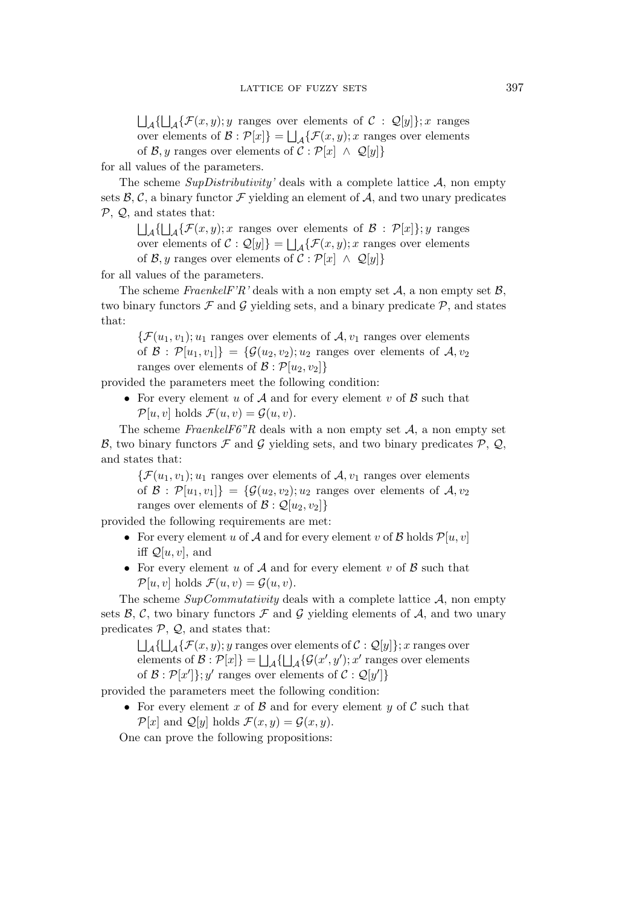$\Box_{\mathcal{A}}\{\Box_{\mathcal{A}}\{\mathcal{F}(x,y); y \text{ ranges over elements of } \mathcal{C} : \mathcal{Q}[y]\}; x \text{ ranges}$ over elements of  $\mathcal{B} : \mathcal{P}[x]$ } =  $\bigsqcup_{\mathcal{A}} {\{\mathcal{F}(x,y); x \text{ ranges over elements}}$ of *B*, *y* ranges over elements of  $C : \mathcal{P}[x] \wedge \mathcal{Q}[y]$ 

for all values of the parameters.

The scheme *SupDistributivity'* deals with a complete lattice *A*, non empty sets  $\beta$ ,  $\beta$ , a binary functor  $\mathcal F$  yielding an element of  $\mathcal A$ , and two unary predicates *P*, *Q*, and states that:

 $\Box_{\mathcal{A}}\{\Box_{\mathcal{A}}\{\mathcal{F}(x,y); x \text{ ranges over elements of } \mathcal{B} : \mathcal{P}[x]\}; y \text{ ranges}$ over elements of  $\mathcal{C}: \mathcal{Q}[y]$  =  $\bigsqcup_{\mathcal{A}} {\{\mathcal{F}(x,y); x \text{ ranges over elements}} }$ of *B*, *y* ranges over elements of  $C : \mathcal{P}[x] \wedge \mathcal{Q}[y]$ 

for all values of the parameters.

The scheme *FraenkelF'R'* deals with a non empty set  $A$ , a non empty set  $B$ , two binary functors  $\mathcal F$  and  $\mathcal G$  yielding sets, and a binary predicate  $\mathcal P$ , and states that:

 $\mathcal{F}(u_1,v_1); u_1$  ranges over elements of  $\mathcal{A}, v_1$  ranges over elements of  $\mathcal{B}: \mathcal{P}[u_1, v_1]\} = \{\mathcal{G}(u_2, v_2); u_2 \text{ ranges over elements of } \mathcal{A}, v_2\}$ ranges over elements of  $\mathcal{B} : \mathcal{P}[u_2, v_2]$ 

provided the parameters meet the following condition:

• For every element u of A and for every element v of B such that  $\mathcal{P}[u, v]$  holds  $\mathcal{F}(u, v) = \mathcal{G}(u, v)$ .

The scheme *FraenkelF6"R* deals with a non empty set  $A$ , a non empty set *B*, two binary functors  $\mathcal F$  and  $\mathcal G$  yielding sets, and two binary predicates  $\mathcal P$ ,  $\mathcal Q$ , and states that:

 $\{\mathcal{F}(u_1,v_1); u_1 \text{ ranges over elements of } \mathcal{A}, v_1 \text{ ranges over elements}\}$ of  $\mathcal{B}: \mathcal{P}[u_1, v_1]\} = \{\mathcal{G}(u_2, v_2); u_2 \text{ ranges over elements of } \mathcal{A}, v_2\}$ ranges over elements of  $\mathcal{B}: \mathcal{Q}[u_2, v_2]$ 

provided the following requirements are met:

- For every element u of *A* and for every element v of *B* holds  $\mathcal{P}[u, v]$ iff  $\mathcal{Q}[u,v]$ , and
- *•* For every element u of *A* and for every element v of *B* such that  $\mathcal{P}[u, v]$  holds  $\mathcal{F}(u, v) = \mathcal{G}(u, v)$ .

The scheme *SupCommutativity* deals with a complete lattice *A*, non empty sets  $\beta$ ,  $\beta$ , two binary functors  $\mathcal F$  and  $\mathcal G$  yielding elements of  $\mathcal A$ , and two unary predicates  $P$ ,  $Q$ , and states that:

 $\bigsqcup_{\mathcal{A}}\{\bigsqcup_{\mathcal{A}}\{\mathcal{F}(x,y); y \text{ ranges over elements of } \mathcal{C}: \mathcal{Q}[y]\}; x \text{ ranges over}$ elements of  $\mathcal{B}: \mathcal{P}[x]$  =  $\bigsqcup_{\mathcal{A}} {\{\bigsqcup_{\mathcal{A}} {\{\mathcal{G}(x', y')\}}; x' \text{ ranges over elements}}\}$ of  $\mathcal{B}: \mathcal{P}[x']$ ; y' ranges over elements of  $\mathcal{C}: \mathcal{Q}[y']$ 

provided the parameters meet the following condition:

• For every element x of  $\beta$  and for every element y of  $\beta$  such that  $\mathcal{P}[x]$  and  $\mathcal{Q}[y]$  holds  $\mathcal{F}(x,y) = \mathcal{G}(x,y)$ .

One can prove the following propositions: